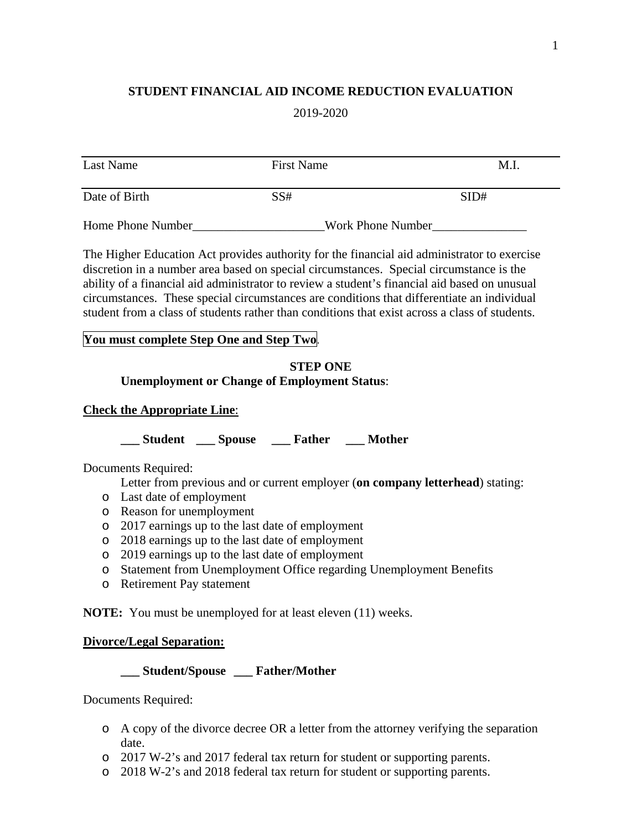### **STUDENT FINANCIAL AID INCOME REDUCTION EVALUATION**

2019-2020

| Last Name         | <b>First Name</b> | M.I               |
|-------------------|-------------------|-------------------|
| Date of Birth     | SS#               | SID#              |
| Home Phone Number |                   | Work Phone Number |

The Higher Education Act provides authority for the financial aid administrator to exercise discretion in a number area based on special circumstances. Special circumstance is the ability of a financial aid administrator to review a student's financial aid based on unusual circumstances. These special circumstances are conditions that differentiate an individual student from a class of students rather than conditions that exist across a class of students.

#### **You must complete Step One and Step Two**.

#### **STEP ONE Unemployment or Change of Employment Status**:

#### **Check the Appropriate Line**:

**\_\_\_ Student \_\_\_ Spouse \_\_\_ Father \_\_\_ Mother** 

Documents Required:

Letter from previous and or current employer (**on company letterhead**) stating:

- o Last date of employment
- o Reason for unemployment
- o 2017 earnings up to the last date of employment
- o 2018 earnings up to the last date of employment
- o 2019 earnings up to the last date of employment
- o Statement from Unemployment Office regarding Unemployment Benefits
- o Retirement Pay statement

**NOTE:** You must be unemployed for at least eleven (11) weeks.

## **Divorce/Legal Separation:**

**\_\_\_ Student/Spouse \_\_\_ Father/Mother** 

Documents Required:

- o A copy of the divorce decree OR a letter from the attorney verifying the separation date.
- o 2017 W-2's and 2017 federal tax return for student or supporting parents.
- o 2018 W-2's and 2018 federal tax return for student or supporting parents.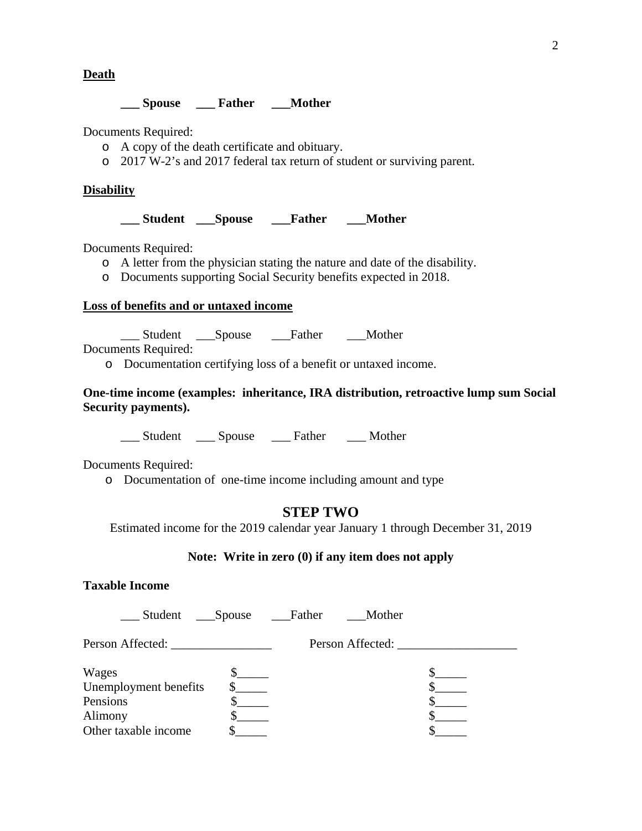**Death** 

#### **\_\_\_ Spouse \_\_\_ Father \_\_\_Mother**

Documents Required:

- o A copy of the death certificate and obituary.
- o 2017 W-2's and 2017 federal tax return of student or surviving parent.

#### **Disability**

**\_\_\_ Student \_\_\_Spouse \_\_\_Father \_\_\_Mother** 

Documents Required:

- o A letter from the physician stating the nature and date of the disability.
- o Documents supporting Social Security benefits expected in 2018.

#### **Loss of benefits and or untaxed income**

\_\_\_ Student \_\_\_Spouse \_\_\_Father \_\_\_Mother

Documents Required:

o Documentation certifying loss of a benefit or untaxed income.

#### **One-time income (examples: inheritance, IRA distribution, retroactive lump sum Social Security payments).**

\_\_\_ Student \_\_\_ Spouse \_\_\_ Father \_\_\_ Mother

Documents Required:

o Documentation of one-time income including amount and type

# **STEP TWO**

Estimated income for the 2019 calendar year January 1 through December 31, 2019

#### **Note: Write in zero (0) if any item does not apply**

# **Taxable Income**

| Student Spouse                                                                | Father | Mother           |  |
|-------------------------------------------------------------------------------|--------|------------------|--|
| Person Affected:                                                              |        | Person Affected: |  |
| Wages<br>Unemployment benefits<br>Pensions<br>Alimony<br>Other taxable income |        |                  |  |